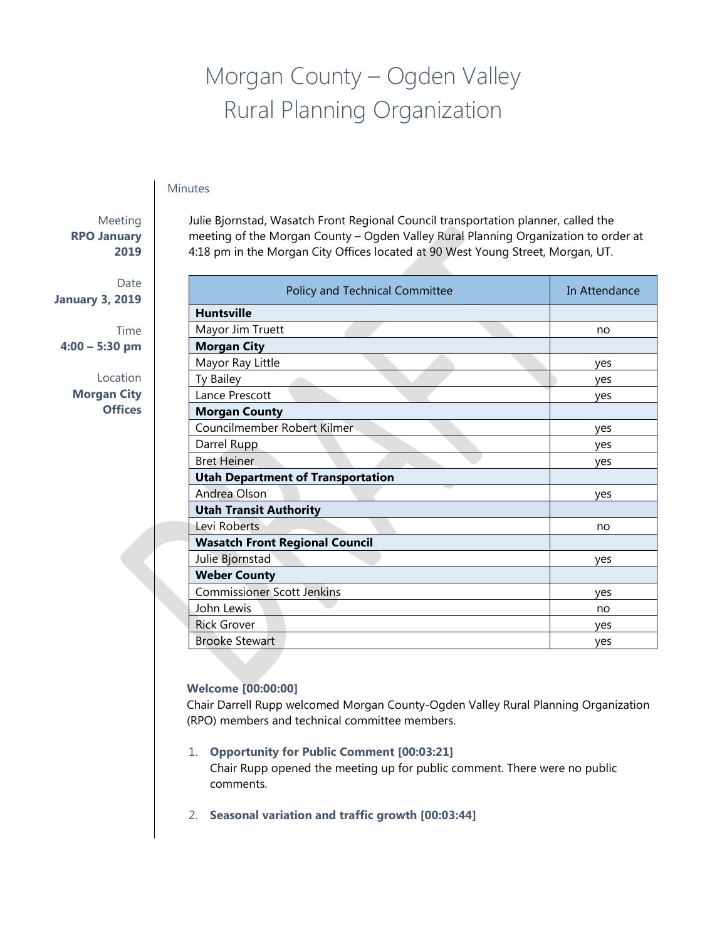# Morgan County – Ogden Valley Rural Planning Organization

## Minutes

# Meeting **RPO January 2019**

Date **January 3, 2019**

Time **4:00 – 5:30 pm**

> Location **Morgan City Offices**

Julie Bjornstad, Wasatch Front Regional Council transportation planner, called the meeting of the Morgan County – Ogden Valley Rural Planning Organization to order at 4:18 pm in the Morgan City Offices located at 90 West Young Street, Morgan, UT.

| Policy and Technical Committee           | In Attendance |
|------------------------------------------|---------------|
| <b>Huntsville</b>                        |               |
| Mayor Jim Truett                         | no            |
| <b>Morgan City</b>                       |               |
| Mayor Ray Little                         | ves           |
| Ty Bailey                                | yes           |
| Lance Prescott                           | yes           |
| <b>Morgan County</b>                     |               |
| Councilmember Robert Kilmer              | ves           |
| Darrel Rupp                              | yes           |
| <b>Bret Heiner</b>                       | yes           |
| <b>Utah Department of Transportation</b> |               |
| Andrea Olson                             | yes           |
| <b>Utah Transit Authority</b>            |               |
| Levi Roberts                             | no            |
| <b>Wasatch Front Regional Council</b>    |               |
| Julie Bjornstad                          | ves           |
| <b>Weber County</b>                      |               |
| <b>Commissioner Scott Jenkins</b>        | ves           |
| John Lewis                               | no            |
| <b>Rick Grover</b>                       | ves           |
| <b>Brooke Stewart</b>                    | ves           |

## **Welcome [00:00:00]**

Chair Darrell Rupp welcomed Morgan County-Ogden Valley Rural Planning Organization (RPO) members and technical committee members.

- 1. **Opportunity for Public Comment [00:03:21]** Chair Rupp opened the meeting up for public comment. There were no public comments.
- 2. **Seasonal variation and traffic growth [00:03:44]**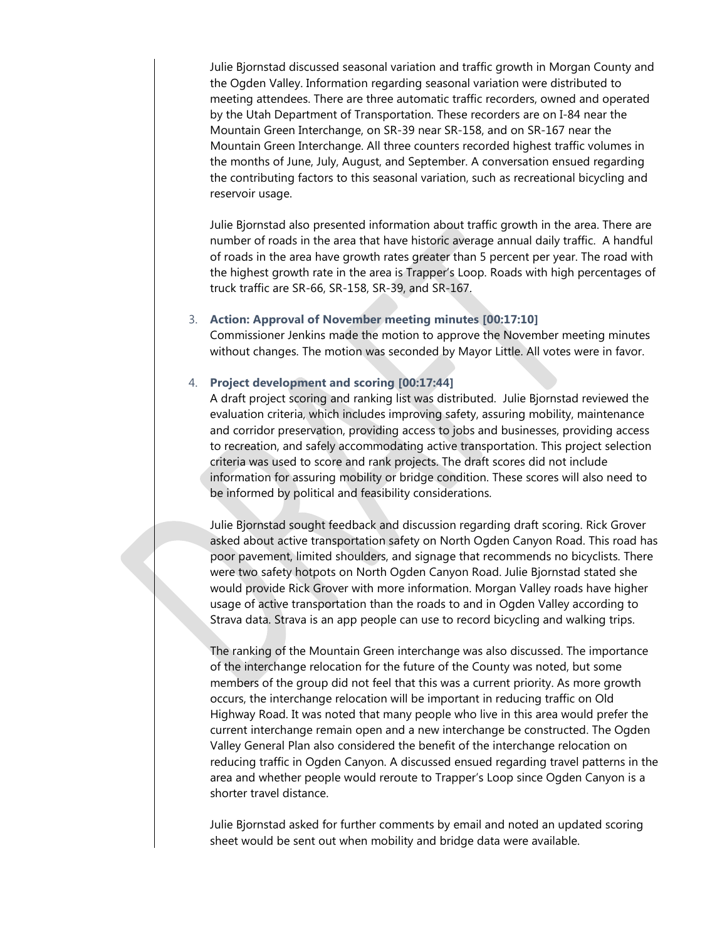Julie Bjornstad discussed seasonal variation and traffic growth in Morgan County and the Ogden Valley. Information regarding seasonal variation were distributed to meeting attendees. There are three automatic traffic recorders, owned and operated by the Utah Department of Transportation. These recorders are on I-84 near the Mountain Green Interchange, on SR-39 near SR-158, and on SR-167 near the Mountain Green Interchange. All three counters recorded highest traffic volumes in the months of June, July, August, and September. A conversation ensued regarding the contributing factors to this seasonal variation, such as recreational bicycling and reservoir usage.

Julie Bjornstad also presented information about traffic growth in the area. There are number of roads in the area that have historic average annual daily traffic. A handful of roads in the area have growth rates greater than 5 percent per year. The road with the highest growth rate in the area is Trapper's Loop. Roads with high percentages of truck traffic are SR-66, SR-158, SR-39, and SR-167.

#### 3. **Action: Approval of November meeting minutes [00:17:10]**

Commissioner Jenkins made the motion to approve the November meeting minutes without changes. The motion was seconded by Mayor Little. All votes were in favor.

### 4. **Project development and scoring [00:17:44]**

A draft project scoring and ranking list was distributed. Julie Bjornstad reviewed the evaluation criteria, which includes improving safety, assuring mobility, maintenance and corridor preservation, providing access to jobs and businesses, providing access to recreation, and safely accommodating active transportation. This project selection criteria was used to score and rank projects. The draft scores did not include information for assuring mobility or bridge condition. These scores will also need to be informed by political and feasibility considerations.

Julie Bjornstad sought feedback and discussion regarding draft scoring. Rick Grover asked about active transportation safety on North Ogden Canyon Road. This road has poor pavement, limited shoulders, and signage that recommends no bicyclists. There were two safety hotpots on North Ogden Canyon Road. Julie Bjornstad stated she would provide Rick Grover with more information. Morgan Valley roads have higher usage of active transportation than the roads to and in Ogden Valley according to Strava data. Strava is an app people can use to record bicycling and walking trips.

The ranking of the Mountain Green interchange was also discussed. The importance of the interchange relocation for the future of the County was noted, but some members of the group did not feel that this was a current priority. As more growth occurs, the interchange relocation will be important in reducing traffic on Old Highway Road. It was noted that many people who live in this area would prefer the current interchange remain open and a new interchange be constructed. The Ogden Valley General Plan also considered the benefit of the interchange relocation on reducing traffic in Ogden Canyon. A discussed ensued regarding travel patterns in the area and whether people would reroute to Trapper's Loop since Ogden Canyon is a shorter travel distance.

Julie Bjornstad asked for further comments by email and noted an updated scoring sheet would be sent out when mobility and bridge data were available.